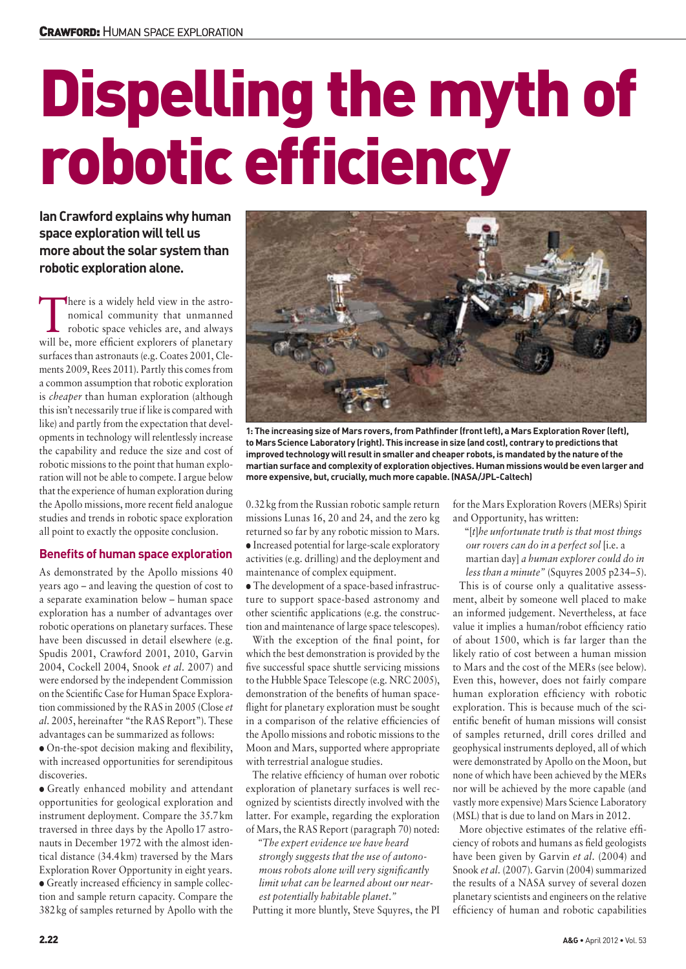# Dispelling the myth of robotic efficiency

**Ian Crawford explains why human space exploration will tell us more about the solar system than robotic exploration alone.**

There is a widely held view in the astro-<br>nomical community that unmanned<br>robotic space vehicles are, and always nomical community that unmanned will be, more efficient explorers of planetary surfaces than astronauts (e.g. Coates 2001, Clements 2009, Rees 2011). Partly this comes from a common assumption that robotic exploration is *cheaper* than human exploration (although this isn't necessarily true if like is compared with like) and partly from the expectation that developments in technology will relentlessly increase the capability and reduce the size and cost of robotic missions to the point that human exploration will not be able to compete. I argue below that the experience of human exploration during the Apollo missions, more recent field analogue studies and trends in robotic space exploration all point to exactly the opposite conclusion.

## **Benefits of human space exploration**

As demonstrated by the Apollo missions 40 years ago – and leaving the question of cost to a separate examination below – human space exploration has a number of advantages over robotic operations on planetary surfaces. These have been discussed in detail elsewhere (e.g. Spudis 2001, Crawford 2001, 2010, Garvin 2004, Cockell 2004, Snook *et al.* 2007) and were endorsed by the independent Commission on the Scientific Case for Human Space Exploration commissioned by the RAS in 2005 (Close *et al.* 2005, hereinafter "the RAS Report"). These advantages can be summarized as follows:

● On-the-spot decision making and flexibility, with increased opportunities for serendipitous discoveries.

● Greatly enhanced mobility and attendant opportunities for geological exploration and instrument deployment. Compare the 35.7km traversed in three days by the Apollo17 astronauts in December 1972 with the almost identical distance (34.4km) traversed by the Mars Exploration Rover Opportunity in eight years. ● Greatly increased efficiency in sample collection and sample return capacity. Compare the 382kg of samples returned by Apollo with the



**1: The increasing size of Mars rovers, from Pathfinder (front left), a Mars Exploration Rover (left), to Mars Science Laboratory (right). This increase in size (and cost), contrary to predictions that improved technology will result in smaller and cheaper robots, is mandated by the nature of the martian surface and complexity of exploration objectives. Human missions would be even larger and more expensive, but, crucially, much more capable. (NASA/JPL-Caltech)**

0.32kg from the Russian robotic sample return missions Lunas 16, 20 and 24, and the zero kg returned so far by any robotic mission to Mars. ● Increased potential for large-scale exploratory activities (e.g. drilling) and the deployment and maintenance of complex equipment.

● The development of a space-based infrastructure to support space-based astronomy and other scientific applications (e.g. the construction and maintenance of large space telescopes).

With the exception of the final point, for which the best demonstration is provided by the five successful space shuttle servicing missions to the Hubble Space Telescope (e.g. NRC 2005), demonstration of the benefits of human spaceflight for planetary exploration must be sought in a comparison of the relative efficiencies of the Apollo missions and robotic missions to the Moon and Mars, supported where appropriate with terrestrial analogue studies.

The relative efficiency of human over robotic exploration of planetary surfaces is well recognized by scientists directly involved with the latter. For example, regarding the exploration of Mars, the RAS Report (paragraph 70) noted:

*"The expert evidence we have heard strongly suggests that the use of autonomous robots alone will very significantly limit what can be learned about our nearest potentially habitable planet."*

Putting it more bluntly, Steve Squyres, the PI

for the Mars Exploration Rovers (MERs) Spirit and Opportunity, has written:

"[*t*]*he unfortunate truth is that most things our rovers can do in a perfect sol* [i.e. a martian day] *a human explorer could do in less than a minute"* (Squyres 2005 p234–5).

This is of course only a qualitative assessment, albeit by someone well placed to make an informed judgement. Nevertheless, at face value it implies a human/robot efficiency ratio of about 1500, which is far larger than the likely ratio of cost between a human mission to Mars and the cost of the MERs (see below). Even this, however, does not fairly compare human exploration efficiency with robotic exploration. This is because much of the scientific benefit of human missions will consist of samples returned, drill cores drilled and geophysical instruments deployed, all of which were demonstrated by Apollo on the Moon, but none of which have been achieved by the MERs nor will be achieved by the more capable (and vastly more expensive) Mars Science Laboratory (MSL) that is due to land on Mars in 2012.

More objective estimates of the relative efficiency of robots and humans as field geologists have been given by Garvin *et al.* (2004) and Snook *et al.* (2007). Garvin (2004) summarized the results of a NASA survey of several dozen planetary scientists and engineers on the relative efficiency of human and robotic capabilities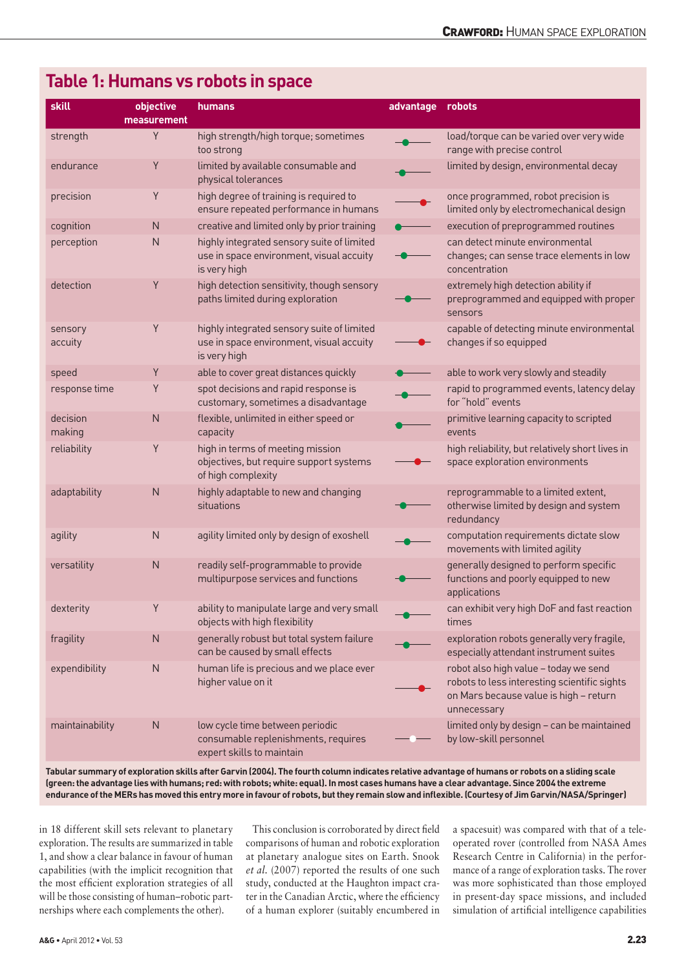# **Table 1: Humans vs robots in space**

| Table 1: Humans vs robots in space |                          |                                                                                                        |           |                                                                                                                                                |
|------------------------------------|--------------------------|--------------------------------------------------------------------------------------------------------|-----------|------------------------------------------------------------------------------------------------------------------------------------------------|
| skill                              | objective<br>measurement | humans                                                                                                 | advantage | robots                                                                                                                                         |
| strength                           | Y                        | high strength/high torque; sometimes<br>too strong                                                     |           | load/torque can be varied over very wide<br>range with precise control                                                                         |
| endurance                          | Υ                        | limited by available consumable and<br>physical tolerances                                             |           | limited by design, environmental decay                                                                                                         |
| precision                          | Υ                        | high degree of training is required to<br>ensure repeated performance in humans                        |           | once programmed, robot precision is<br>limited only by electromechanical design                                                                |
| cognition                          | N                        | creative and limited only by prior training                                                            |           | execution of preprogrammed routines                                                                                                            |
| perception                         | ${\sf N}$                | highly integrated sensory suite of limited<br>use in space environment, visual accuity<br>is very high |           | can detect minute environmental<br>changes; can sense trace elements in low<br>concentration                                                   |
| detection                          | Y                        | high detection sensitivity, though sensory<br>paths limited during exploration                         |           | extremely high detection ability if<br>preprogrammed and equipped with proper<br>sensors                                                       |
| sensory<br>accuity                 | Y                        | highly integrated sensory suite of limited<br>use in space environment, visual accuity<br>is very high |           | capable of detecting minute environmental<br>changes if so equipped                                                                            |
| speed                              | Y                        | able to cover great distances quickly                                                                  |           | able to work very slowly and steadily                                                                                                          |
| response time                      | Υ                        | spot decisions and rapid response is<br>customary, sometimes a disadvantage                            |           | rapid to programmed events, latency delay<br>for "hold" events                                                                                 |
| decision<br>making                 | $\mathsf{N}$             | flexible, unlimited in either speed or<br>capacity                                                     |           | primitive learning capacity to scripted<br>events                                                                                              |
| reliability                        | Υ                        | high in terms of meeting mission<br>objectives, but require support systems<br>of high complexity      |           | high reliability, but relatively short lives in<br>space exploration environments                                                              |
| adaptability                       | N                        | highly adaptable to new and changing<br>situations                                                     |           | reprogrammable to a limited extent,<br>otherwise limited by design and system<br>redundancy                                                    |
| agility                            | N                        | agility limited only by design of exoshell                                                             |           | computation requirements dictate slow<br>movements with limited agility                                                                        |
| versatility                        | N                        | readily self-programmable to provide<br>multipurpose services and functions                            |           | generally designed to perform specific<br>functions and poorly equipped to new<br>applications                                                 |
| dexterity                          | Υ                        | ability to manipulate large and very small<br>objects with high flexibility                            |           | can exhibit very high DoF and fast reaction<br>times                                                                                           |
| fragility                          | N                        | generally robust but total system failure<br>can be caused by small effects                            |           | exploration robots generally very fragile,<br>especially attendant instrument suites                                                           |
| expendibility                      | ${\sf N}$                | human life is precious and we place ever<br>higher value on it                                         |           | robot also high value - today we send<br>robots to less interesting scientific sights<br>on Mars because value is high - return<br>unnecessary |
| maintainability                    | N                        | low cycle time between periodic<br>consumable replenishments, requires<br>expert skills to maintain    |           | limited only by design - can be maintained<br>by low-skill personnel                                                                           |

**Tabular summary of exploration skills after Garvin (2004). The fourth column indicates relative advantage of humans or robots on a sliding scale (green: the advantage lies with humans; red: with robots; white: equal). In most cases humans have a clear advantage. Since 2004 the extreme endurance of the MERs has moved this entry more in favour of robots, but they remain slow and inflexible. (Courtesy of Jim Garvin/NASA/Springer)**

in 18 different skill sets relevant to planetary exploration. The results are summarized in table 1, and show a clear balance in favour of human capabilities (with the implicit recognition that the most efficient exploration strategies of all will be those consisting of human–robotic partnerships where each complements the other).

This conclusion is corroborated by direct field comparisons of human and robotic exploration at planetary analogue sites on Earth. Snook *et al.* (2007) reported the results of one such study, conducted at the Haughton impact crater in the Canadian Arctic, where the efficiency of a human explorer (suitably encumbered in a spacesuit) was compared with that of a teleoperated rover (controlled from NASA Ames Research Centre in California) in the performance of a range of exploration tasks. The rover was more sophisticated than those employed in present-day space missions, and included simulation of artificial intelligence capabilities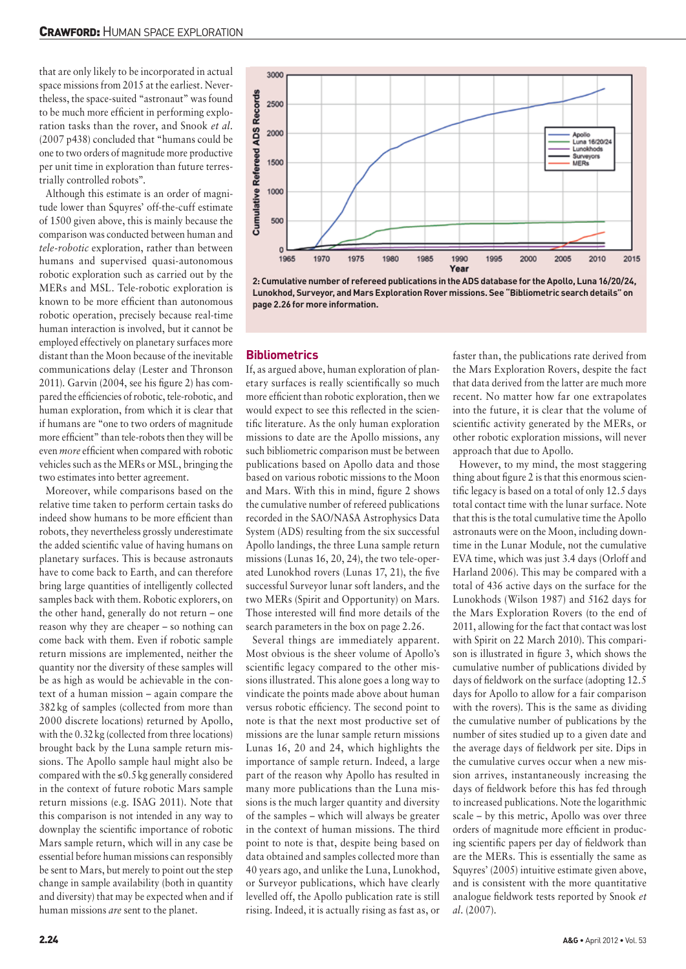that are only likely to be incorporated in actual space missions from 2015 at the earliest. Nevertheless, the space-suited "astronaut" was found to be much more efficient in performing exploration tasks than the rover, and Snook *et al.* (2007 p438) concluded that "humans could be one to two orders of magnitude more productive per unit time in exploration than future terrestrially controlled robots".

Although this estimate is an order of magnitude lower than Squyres' off-the-cuff estimate of 1500 given above, this is mainly because the comparison was conducted between human and *tele-robotic* exploration, rather than between humans and supervised quasi-autonomous robotic exploration such as carried out by the MERs and MSL. Tele-robotic exploration is known to be more efficient than autonomous robotic operation, precisely because real-time human interaction is involved, but it cannot be employed effectively on planetary surfaces more distant than the Moon because of the inevitable communications delay (Lester and Thronson 2011). Garvin (2004, see his figure 2) has compared the efficiencies of robotic, tele-robotic, and human exploration, from which it is clear that if humans are "one to two orders of magnitude more efficient" than tele-robots then they will be even *more* efficient when compared with robotic vehicles such as the MERs or MSL, bringing the two estimates into better agreement.

Moreover, while comparisons based on the relative time taken to perform certain tasks do indeed show humans to be more efficient than robots, they nevertheless grossly underestimate the added scientific value of having humans on planetary surfaces. This is because astronauts have to come back to Earth, and can therefore bring large quantities of intelligently collected samples back with them. Robotic explorers, on the other hand, generally do not return – one reason why they are cheaper – so nothing can come back with them. Even if robotic sample return missions are implemented, neither the quantity nor the diversity of these samples will be as high as would be achievable in the context of a human mission – again compare the 382kg of samples (collected from more than 2000 discrete locations) returned by Apollo, with the 0.32kg (collected from three locations) brought back by the Luna sample return missions. The Apollo sample haul might also be compared with the  $\leq 0.5$  kg generally considered in the context of future robotic Mars sample return missions (e.g. ISAG 2011). Note that this comparison is not intended in any way to downplay the scientific importance of robotic Mars sample return, which will in any case be essential before human missions can responsibly be sent to Mars, but merely to point out the step change in sample availability (both in quantity and diversity) that may be expected when and if human missions *are* sent to the planet.



**2: Cumulative number of refereed publications in the ADS database for the Apollo, Luna 16/20/24, Lunokhod, Surveyor, and Mars Exploration Rover missions. See "Bibliometric search details" on page 2.26 for more information.**

#### **Bibliometrics**

If, as argued above, human exploration of planetary surfaces is really scientifically so much more efficient than robotic exploration, then we would expect to see this reflected in the scientific literature. As the only human exploration missions to date are the Apollo missions, any such bibliometric comparison must be between publications based on Apollo data and those based on various robotic missions to the Moon and Mars. With this in mind, figure 2 shows the cumulative number of refereed publications recorded in the SAO/NASA Astrophysics Data System (ADS) resulting from the six successful Apollo landings, the three Luna sample return missions (Lunas 16, 20, 24), the two tele-operated Lunokhod rovers (Lunas 17, 21), the five successful Surveyor lunar soft landers, and the two MERs (Spirit and Opportunity) on Mars. Those interested will find more details of the search parameters in the box on page 2.26.

Several things are immediately apparent. Most obvious is the sheer volume of Apollo's scientific legacy compared to the other missions illustrated. This alone goes a long way to vindicate the points made above about human versus robotic efficiency. The second point to note is that the next most productive set of missions are the lunar sample return missions Lunas 16, 20 and 24, which highlights the importance of sample return. Indeed, a large part of the reason why Apollo has resulted in many more publications than the Luna missions is the much larger quantity and diversity of the samples – which will always be greater in the context of human missions. The third point to note is that, despite being based on data obtained and samples collected more than 40 years ago, and unlike the Luna, Lunokhod, or Surveyor publications, which have clearly levelled off, the Apollo publication rate is still rising. Indeed, it is actually rising as fast as, or

faster than, the publications rate derived from the Mars Exploration Rovers, despite the fact that data derived from the latter are much more recent. No matter how far one extrapolates into the future, it is clear that the volume of scientific activity generated by the MERs, or other robotic exploration missions, will never approach that due to Apollo.

However, to my mind, the most staggering thing about figure 2 is that this enormous scientific legacy is based on a total of only 12.5 days total contact time with the lunar surface. Note that this is the total cumulative time the Apollo astronauts were on the Moon, including downtime in the Lunar Module, not the cumulative EVA time, which was just 3.4 days (Orloff and Harland 2006). This may be compared with a total of 436 active days on the surface for the Lunokhods (Wilson 1987) and 5162 days for the Mars Exploration Rovers (to the end of 2011, allowing for the fact that contact was lost with Spirit on 22 March 2010). This comparison is illustrated in figure 3, which shows the cumulative number of publications divided by days of fieldwork on the surface (adopting 12.5 days for Apollo to allow for a fair comparison with the rovers). This is the same as dividing the cumulative number of publications by the number of sites studied up to a given date and the average days of fieldwork per site. Dips in the cumulative curves occur when a new mission arrives, instantaneously increasing the days of fieldwork before this has fed through to increased publications. Note the logarithmic scale – by this metric, Apollo was over three orders of magnitude more efficient in producing scientific papers per day of fieldwork than are the MERs. This is essentially the same as Squyres' (2005) intuitive estimate given above, and is consistent with the more quantitative analogue fieldwork tests reported by Snook *et al.* (2007).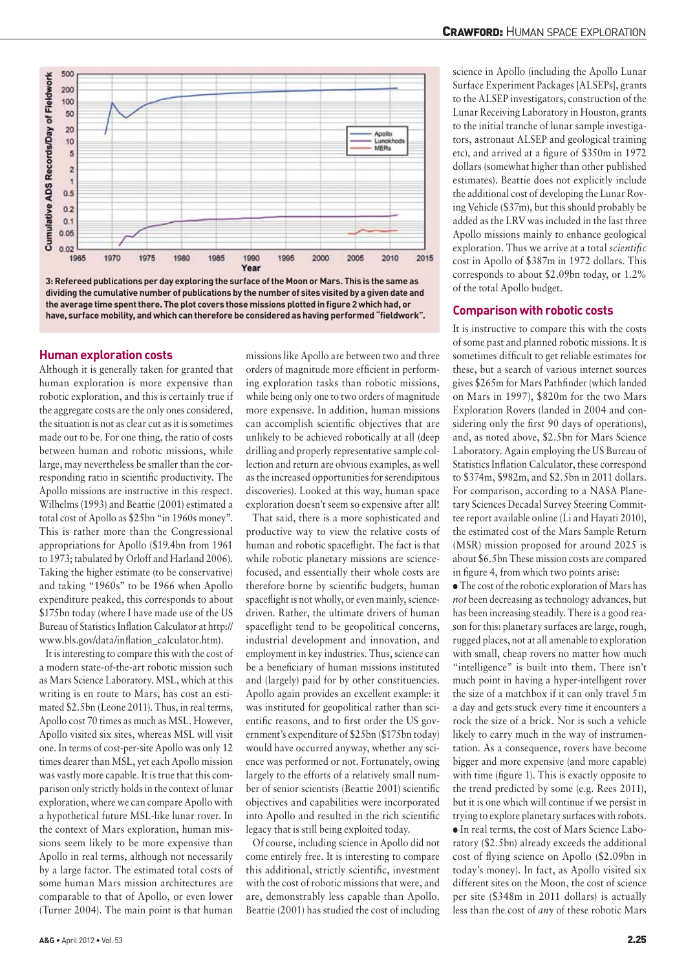

**3: Refereed publications per day exploring the surface of the Moon or Mars. This is the same as dividing the cumulative number of publications by the number of sites visited by a given date and the average time spent there. The plot covers those missions plotted in figure 2 which had, or have, surface mobility, and which can therefore be considered as having performed "fieldwork".**

#### **Human exploration costs**

Although it is generally taken for granted that human exploration is more expensive than robotic exploration, and this is certainly true if the aggregate costs are the only ones considered, the situation is not as clear cut as it is sometimes made out to be. For one thing, the ratio of costs between human and robotic missions, while large, may nevertheless be smaller than the corresponding ratio in scientific productivity. The Apollo missions are instructive in this respect. Wilhelms (1993) and Beattie (2001) estimated a total cost of Apollo as \$25bn "in 1960s money". This is rather more than the Congressional appropriations for Apollo (\$19.4bn from 1961 to 1973; tabulated by Orloff and Harland 2006). Taking the higher estimate (to be conservative) and taking "1960s" to be 1966 when Apollo expenditure peaked, this corresponds to about \$175bn today (where I have made use of the US Bureau of Statistics Inflation Calculator at http:// www.bls.gov/data/inflation\_calculator.htm).

It is interesting to compare this with the cost of a modern state-of-the-art robotic mission such as Mars Science Laboratory. MSL, which at this writing is en route to Mars, has cost an estimated \$2.5bn (Leone 2011). Thus, in real terms, Apollo cost 70 times as much as MSL. However, Apollo visited six sites, whereas MSL will visit one. In terms of cost-per-site Apollo was only 12 times dearer than MSL, yet each Apollo mission was vastly more capable. It is true that this comparison only strictly holds in the context of lunar exploration, where we can compare Apollo with a hypothetical future MSL-like lunar rover. In the context of Mars exploration, human missions seem likely to be more expensive than Apollo in real terms, although not necessarily by a large factor. The estimated total costs of some human Mars mission architectures are comparable to that of Apollo, or even lower (Turner 2004). The main point is that human

missions like Apollo are between two and three orders of magnitude more efficient in performing exploration tasks than robotic missions, while being only one to two orders of magnitude more expensive. In addition, human missions can accomplish scientific objectives that are unlikely to be achieved robotically at all (deep drilling and properly representative sample collection and return are obvious examples, as well as the increased opportunities for serendipitous discoveries). Looked at this way, human space exploration doesn't seem so expensive after all!

That said, there is a more sophisticated and productive way to view the relative costs of human and robotic spaceflight. The fact is that while robotic planetary missions are sciencefocused, and essentially their whole costs are therefore borne by scientific budgets, human spaceflight is not wholly, or even mainly, sciencedriven. Rather, the ultimate drivers of human spaceflight tend to be geopolitical concerns, industrial development and innovation, and employment in key industries. Thus, science can be a beneficiary of human missions instituted and (largely) paid for by other constituencies. Apollo again provides an excellent example: it was instituted for geopolitical rather than scientific reasons, and to first order the US government's expenditure of \$25bn (\$175bn today) would have occurred anyway, whether any science was performed or not. Fortunately, owing largely to the efforts of a relatively small number of senior scientists (Beattie 2001) scientific objectives and capabilities were incorporated into Apollo and resulted in the rich scientific legacy that is still being exploited today.

Of course, including science in Apollo did not come entirely free. It is interesting to compare this additional, strictly scientific, investment with the cost of robotic missions that were, and are, demonstrably less capable than Apollo. Beattie (2001) has studied the cost of including

science in Apollo (including the Apollo Lunar Surface Experiment Packages [ALSEPs], grants to the ALSEP investigators, construction of the Lunar Receiving Laboratory in Houston, grants to the initial tranche of lunar sample investigators, astronaut ALSEP and geological training etc), and arrived at a figure of \$350m in 1972 dollars (somewhat higher than other published estimates). Beattie does not explicitly include the additional cost of developing the Lunar Roving Vehicle (\$37m), but this should probably be added as the LRV was included in the last three Apollo missions mainly to enhance geological exploration. Thus we arrive at a total *scientific* cost in Apollo of \$387m in 1972 dollars. This corresponds to about \$2.09bn today, or 1.2% of the total Apollo budget.

#### **Comparison with robotic costs**

It is instructive to compare this with the costs of some past and planned robotic missions. It is sometimes difficult to get reliable estimates for these, but a search of various internet sources gives \$265m for Mars Pathfinder (which landed on Mars in 1997), \$820m for the two Mars Exploration Rovers (landed in 2004 and considering only the first 90 days of operations), and, as noted above, \$2.5bn for Mars Science Laboratory. Again employing the US Bureau of Statistics Inflation Calculator, these correspond to \$374m, \$982m, and \$2.5bn in 2011 dollars. For comparison, according to a NASA Planetary Sciences Decadal Survey Steering Committee report available online (Li and Hayati 2010), the estimated cost of the Mars Sample Return (MSR) mission proposed for around 2025 is about \$6.5bn These mission costs are compared in figure 4, from which two points arise:

● The cost of the robotic exploration of Mars has *not* been decreasing as technology advances, but has been increasing steadily. There is a good reason for this: planetary surfaces are large, rough, rugged places, not at all amenable to exploration with small, cheap rovers no matter how much "intelligence" is built into them. There isn't much point in having a hyper-intelligent rover the size of a matchbox if it can only travel 5m a day and gets stuck every time it encounters a rock the size of a brick. Nor is such a vehicle likely to carry much in the way of instrumentation. As a consequence, rovers have become bigger and more expensive (and more capable) with time (figure 1). This is exactly opposite to the trend predicted by some (e.g. Rees 2011), but it is one which will continue if we persist in trying to explore planetary surfaces with robots. ● In real terms, the cost of Mars Science Laboratory (\$2.5bn) already exceeds the additional cost of flying science on Apollo (\$2.09bn in today's money). In fact, as Apollo visited six different sites on the Moon, the cost of science per site (\$348m in 2011 dollars) is actually less than the cost of *any* of these robotic Mars